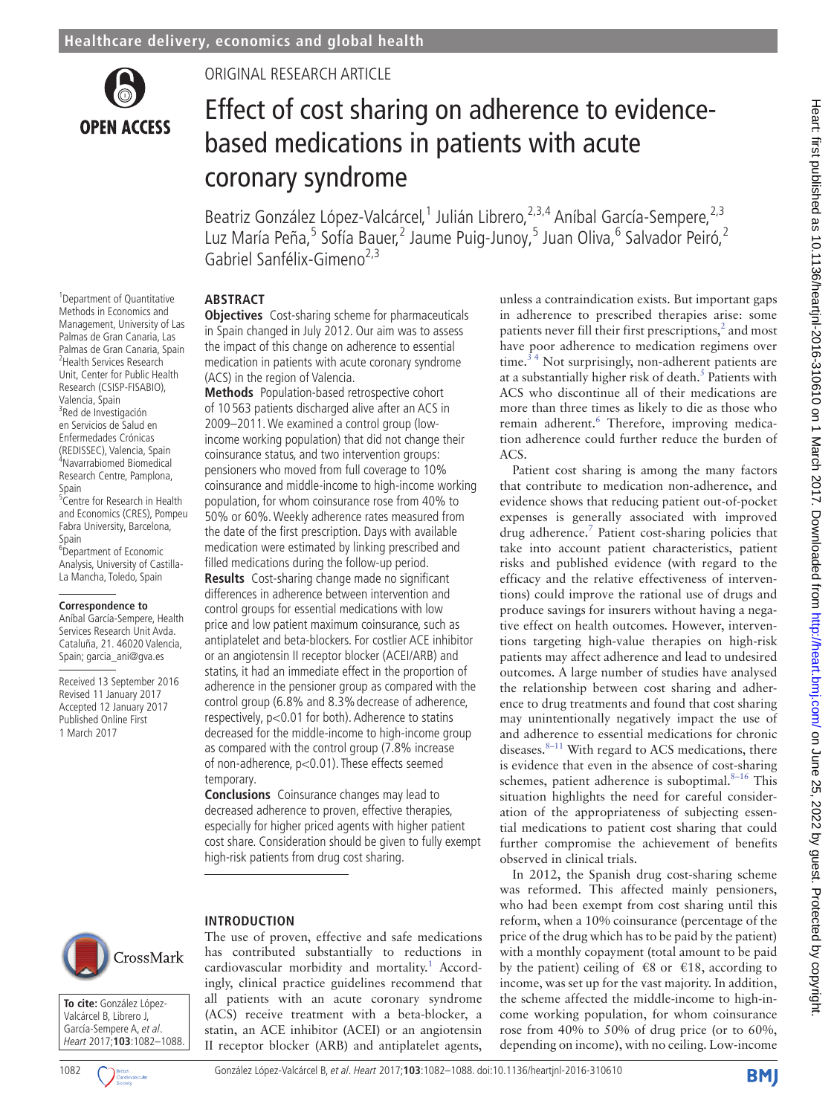

1 Department of Quantitative Methods in Economics and Management, University of Las Palmas de Gran Canaria, Las Palmas de Gran Canaria, Spain <sup>2</sup> <sup>2</sup> Health Services Research Unit, Center for Public Health Research (CSISP-FISABIO), Valencia, Spain <sup>3</sup>Red de Investigación en Servicios de Salud en Enfermedades Crónicas (REDISSEC), Valencia, Spain 4 Navarrabiomed Biomedical Research Centre, Pamplona,

<sup>5</sup> Centre for Research in Health and Economics (CRES), Pompeu Fabra University, Barcelona,

<sup>6</sup>Department of Economic Analysis, University of Castilla-La Mancha, Toledo, Spain

**Correspondence to** Aníbal García-Sempere, Health Services Research Unit Avda. Cataluña, 21. 46020 Valencia, Spain; garcia\_ani@gva.es Received 13 September 2016 Revised 11 January 2017 Accepted 12 January 2017 Published Online First 1 March 2017

Spain

Spain

Original research article

# Effect of cost sharing on adherence to evidencebased medications in patients with acute coronary syndrome

Beatriz González López-Valcárcel,<sup>1</sup> Julián Librero,<sup>2,3,4</sup> Aníbal García-Sempere,<sup>2,3</sup> Luz María Peña,<sup>5</sup> Sofía Bauer,<sup>2</sup> Jaume Puig-Junoy,<sup>5</sup> Juan Oliva,<sup>6</sup> Salvador Peiró,<sup>2</sup> Gabriel Sanfélix-Gimeno<sup>2,3</sup>

ACS.

observed in clinical trials.

In 2012, the Spanish drug cost-sharing scheme was reformed. This affected mainly pensioners, who had been exempt from cost sharing until this reform, when a 10% coinsurance (percentage of the price of the drug which has to be paid by the patient) with a monthly copayment (total amount to be paid by the patient) ceiling of  $\epsilon$ 8 or  $\epsilon$ 18, according to income, was set up for the vast majority. In addition, the scheme affected the middle-income to high-income working population, for whom coinsurance rose from 40% to 50% of drug price (or to 60%, depending on income), with no ceiling. Low-income

unless a contraindication exists. But important gaps in adherence to prescribed therapies arise: some patients never fill their first prescriptions, $<sup>2</sup>$  $<sup>2</sup>$  $<sup>2</sup>$  and most</sup> have poor adherence to medication regimens over time.<sup>34</sup> Not surprisingly, non-adherent patients are at a substantially higher risk of death.<sup>[5](#page-5-3)</sup> Patients with ACS who discontinue all of their medications are more than three times as likely to die as those who remain adherent.<sup>6</sup> Therefore, improving medication adherence could further reduce the burden of

Patient cost sharing is among the many factors that contribute to medication non-adherence, and evidence shows that reducing patient out-of-pocket expenses is generally associated with improved drug adherence.<sup>[7](#page-5-5)</sup> Patient cost-sharing policies that take into account patient characteristics, patient risks and published evidence (with regard to the efficacy and the relative effectiveness of interventions) could improve the rational use of drugs and produce savings for insurers without having a negative effect on health outcomes. However, interventions targeting high-value therapies on high-risk patients may affect adherence and lead to undesired outcomes. A large number of studies have analysed the relationship between cost sharing and adherence to drug treatments and found that cost sharing may unintentionally negatively impact the use of and adherence to essential medications for chronic diseases. $8-11$  With regard to ACS medications, there is evidence that even in the absence of cost-sharing schemes, patient adherence is suboptimal. $8-16$  This situation highlights the need for careful consideration of the appropriateness of subjecting essential medications to patient cost sharing that could further compromise the achievement of benefits

## **Abstract**

**Objectives** Cost-sharing scheme for pharmaceuticals in Spain changed in July 2012. Our aim was to assess the impact of this change on adherence to essential medication in patients with acute coronary syndrome (ACS) in the region of Valencia.

**Methods** Population-based retrospective cohort of 10 563 patients discharged alive after an ACS in 2009–2011. We examined a control group (lowincome working population) that did not change their coinsurance status, and two intervention groups: pensioners who moved from full coverage to 10% coinsurance and middle-income to high-income working population, for whom coinsurance rose from 40% to 50% or 60%. Weekly adherence rates measured from the date of the first prescription. Days with available medication were estimated by linking prescribed and filled medications during the follow-up period.

**Results** Cost-sharing change made no significant differences in adherence between intervention and control groups for essential medications with low price and low patient maximum coinsurance, such as antiplatelet and beta-blockers. For costlier ACE inhibitor or an angiotensin II receptor blocker (ACEI/ARB) and statins, it had an immediate effect in the proportion of adherence in the pensioner group as compared with the control group (6.8% and 8.3%decrease of adherence, respectively, p<0.01 for both). Adherence to statins decreased for the middle-income to high-income group as compared with the control group (7.8% increase of non-adherence, p<0.01). These effects seemed temporary.

**Conclusions** Coinsurance changes may lead to decreased adherence to proven, effective therapies, especially for higher priced agents with higher patient cost share. Consideration should be given to fully exempt high-risk patients from drug cost sharing.

The use of proven, effective and safe medications has contributed substantially to reductions in cardiovascular morbidity and mortality.<sup>[1](#page-5-0)</sup> Accordingly, clinical practice guidelines recommend that all patients with an acute coronary syndrome (ACS) receive treatment with a beta-blocker, a statin, an ACE inhibitor (ACEI) or an angiotensin II receptor blocker (ARB) and antiplatelet agents,

## **Introduction**

CrossMark

**To cite:** González López-Valcárcel B, Librero J, García-Sempere A, et al. Heart 2017;**103**:1082–1088.

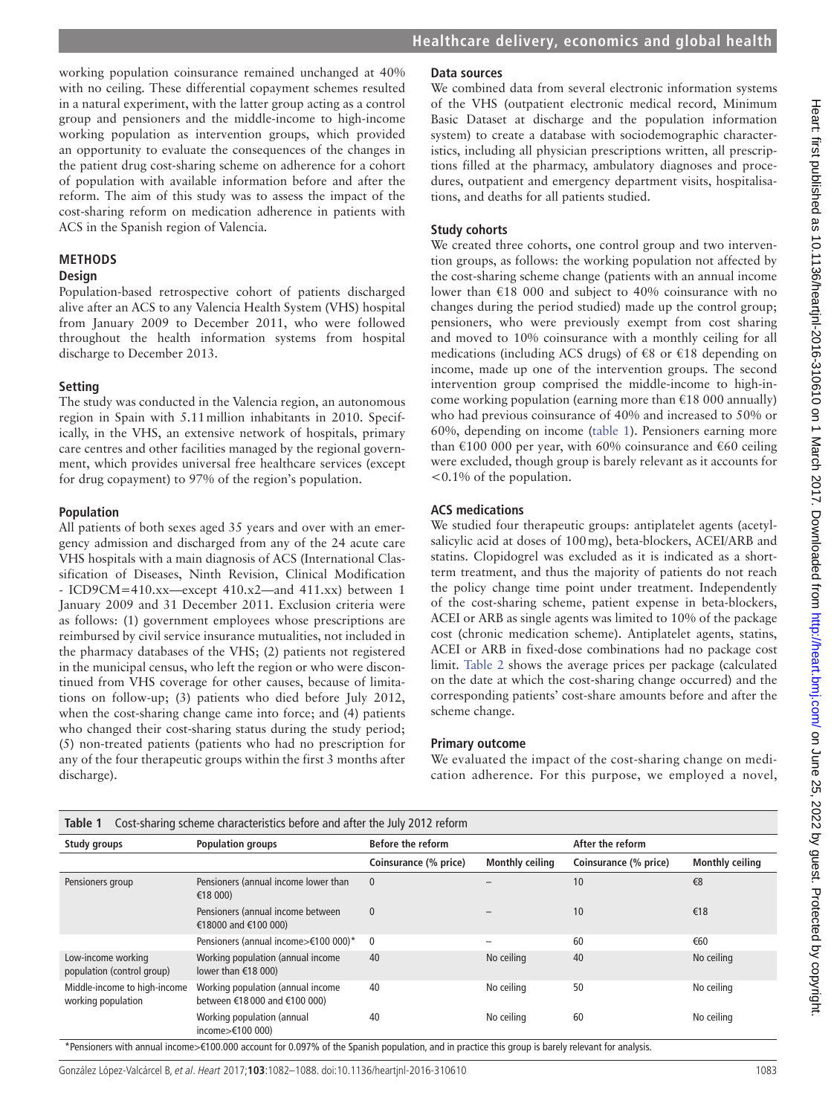**Healthcare delivery, economics and global health**

## working population coinsurance remained unchanged at 40% with no ceiling. These differential copayment schemes resulted in a natural experiment, with the latter group acting as a control group and pensioners and the middle-income to high-income working population as intervention groups, which provided an opportunity to evaluate the consequences of the changes in the patient drug cost-sharing scheme on adherence for a cohort of population with available information before and after the reform. The aim of this study was to assess the impact of the cost-sharing reform on medication adherence in patients with ACS in the Spanish region of Valencia.

## **Methods**

## **Design**

Population-based retrospective cohort of patients discharged alive after an ACS to any Valencia Health System (VHS) hospital from January 2009 to December 2011, who were followed throughout the health information systems from hospital discharge to December 2013.

## **Setting**

The study was conducted in the Valencia region, an autonomous region in Spain with 5.11million inhabitants in 2010. Specifically, in the VHS, an extensive network of hospitals, primary care centres and other facilities managed by the regional government, which provides universal free healthcare services (except for drug copayment) to 97% of the region's population.

#### **Population**

All patients of both sexes aged 35 years and over with an emergency admission and discharged from any of the 24 acute care VHS hospitals with a main diagnosis of ACS (International Classification of Diseases, Ninth Revision, Clinical Modification - ICD9CM=410.xx—except 410.x2—and 411.xx) between 1 January 2009 and 31 December 2011. Exclusion criteria were as follows: (1) government employees whose prescriptions are reimbursed by civil service insurance mutualities, not included in the pharmacy databases of the VHS; (2) patients not registered in the municipal census, who left the region or who were discontinued from VHS coverage for other causes, because of limitations on follow-up; (3) patients who died before July 2012, when the cost-sharing change came into force; and (4) patients who changed their cost-sharing status during the study period; (5) non-treated patients (patients who had no prescription for any of the four therapeutic groups within the first 3 months after discharge).

## **Data sources**

We combined data from several electronic information systems of the VHS (outpatient electronic medical record, Minimum Basic Dataset at discharge and the population information system) to create a database with sociodemographic characteristics, including all physician prescriptions written, all prescriptions filled at the pharmacy, ambulatory diagnoses and procedures, outpatient and emergency department visits, hospitalisations, and deaths for all patients studied.

## **Study cohorts**

We created three cohorts, one control group and two intervention groups, as follows: the working population not affected by the cost-sharing scheme change (patients with an annual income lower than €18 000 and subject to 40% coinsurance with no changes during the period studied) made up the control group; pensioners, who were previously exempt from cost sharing and moved to 10% coinsurance with a monthly ceiling for all medications (including ACS drugs) of  $\epsilon$ 8 or  $\epsilon$ 18 depending on income, made up one of the intervention groups. The second intervention group comprised the middle-income to high-income working population (earning more than  $\epsilon$ 18 000 annually) who had previous coinsurance of 40% and increased to 50% or 60%, depending on income ([table](#page-1-0) 1). Pensioners earning more than  $\text{\textsterling}100\ 000$  per year, with 60% coinsurance and  $\text{\textsterling}60$  ceiling were excluded, though group is barely relevant as it accounts for <0.1% of the population.

## **ACS medications**

We studied four therapeutic groups: antiplatelet agents (acetylsalicylic acid at doses of 100mg), beta-blockers, ACEI/ARB and statins. Clopidogrel was excluded as it is indicated as a shortterm treatment, and thus the majority of patients do not reach the policy change time point under treatment. Independently of the cost-sharing scheme, patient expense in beta-blockers, ACEI or ARB as single agents was limited to 10% of the package cost (chronic medication scheme). Antiplatelet agents, statins, ACEI or ARB in fixed-dose combinations had no package cost limit. [Table](#page-2-0) 2 shows the average prices per package (calculated on the date at which the cost-sharing change occurred) and the corresponding patients' cost-share amounts before and after the scheme change.

## **Primary outcome**

We evaluated the impact of the cost-sharing change on medication adherence. For this purpose, we employed a novel,

<span id="page-1-0"></span>

| Cost-sharing scheme characteristics before and after the July 2012 reform<br>Table 1 |                                                                    |                          |                        |                       |                        |  |
|--------------------------------------------------------------------------------------|--------------------------------------------------------------------|--------------------------|------------------------|-----------------------|------------------------|--|
| Study groups                                                                         | <b>Population groups</b>                                           | <b>Before the reform</b> |                        | After the reform      |                        |  |
|                                                                                      |                                                                    | Coinsurance (% price)    | <b>Monthly ceiling</b> | Coinsurance (% price) | <b>Monthly ceiling</b> |  |
| Pensioners group                                                                     | Pensioners (annual income lower than<br>€18 000)                   | $\mathbf{0}$             |                        | 10                    | €8                     |  |
|                                                                                      | Pensioners (annual income between<br>€18000 and €100 000)          | $\mathbf{0}$             |                        | 10                    | €18                    |  |
|                                                                                      | Pensioners (annual income>€100 000)*                               | 0                        |                        | 60                    | €60                    |  |
| Low-income working<br>population (control group)                                     | Working population (annual income<br>lower than €18 000)           | 40                       | No ceiling             | 40                    | No ceiling             |  |
| Middle-income to high-income<br>working population                                   | Working population (annual income<br>between €18 000 and €100 000) | 40                       | No ceiling             | 50                    | No ceiling             |  |
| $\cdots$<br>.                                                                        | Working population (annual<br>income $\geq$ (100 000)<br>--------  | 40<br>.<br>$\cdots$      | No ceiling<br>.<br>.   | 60<br>.               | No ceiling             |  |

\*Pensioners with annual income>€100.000 account for 0.097% of the Spanish population, and in practice this group is barely relevant for analysis.

González López-Valcárcel B, et al. Heart 2017;**103**:1082–1088. doi:10.1136/heartjnl-2016-310610 1083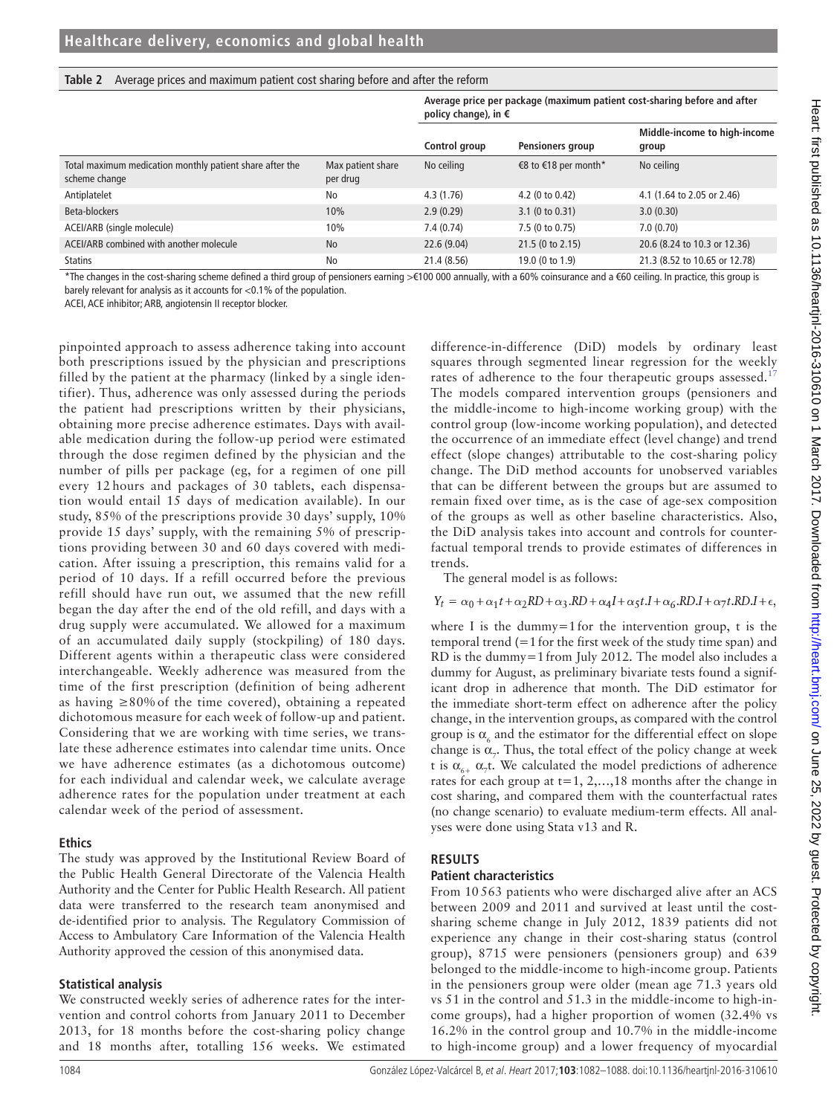#### <span id="page-2-0"></span>**Table 2** Average prices and maximum patient cost sharing before and after the reform

|                                                                           |                               | Average price per package (maximum patient cost-sharing before and after<br>policy change), in $\epsilon$ |                      |                                       |  |
|---------------------------------------------------------------------------|-------------------------------|-----------------------------------------------------------------------------------------------------------|----------------------|---------------------------------------|--|
|                                                                           |                               | Control group                                                                                             | Pensioners group     | Middle-income to high-income<br>group |  |
| Total maximum medication monthly patient share after the<br>scheme change | Max patient share<br>per drug | No ceiling                                                                                                | €8 to €18 per month* | No ceiling                            |  |
| Antiplatelet                                                              | No                            | 4.3(1.76)                                                                                                 | 4.2 (0 to 0.42)      | 4.1 (1.64 to 2.05 or 2.46)            |  |
| Beta-blockers                                                             | 10%                           | 2.9(0.29)                                                                                                 | 3.1 (0 to 0.31)      | 3.0(0.30)                             |  |
| ACEI/ARB (single molecule)                                                | 10%                           | 7.4 (0.74)                                                                                                | 7.5 (0 to 0.75)      | 7.0(0.70)                             |  |
| ACEI/ARB combined with another molecule                                   | <b>No</b>                     | 22.6(9.04)                                                                                                | 21.5 (0 to 2.15)     | 20.6 (8.24 to 10.3 or 12.36)          |  |
| <b>Statins</b>                                                            | No                            | 21.4 (8.56)                                                                                               | 19.0 (0 to 1.9)      | 21.3 (8.52 to 10.65 or 12.78)         |  |

\*The changes in the cost-sharing scheme defined a third group of pensioners earning >€100 000 annually, with a 60% coinsurance and a €60 ceiling. In practice, this group is barely relevant for analysis as it accounts for <0.1% of the population.

ACEI, ACE inhibitor; ARB, angiotensin II receptor blocker.

pinpointed approach to assess adherence taking into account both prescriptions issued by the physician and prescriptions filled by the patient at the pharmacy (linked by a single identifier). Thus, adherence was only assessed during the periods the patient had prescriptions written by their physicians, obtaining more precise adherence estimates. Days with available medication during the follow-up period were estimated through the dose regimen defined by the physician and the number of pills per package (eg, for a regimen of one pill every 12 hours and packages of 30 tablets, each dispensation would entail 15 days of medication available). In our study, 85% of the prescriptions provide 30 days' supply, 10% provide 15 days' supply, with the remaining 5% of prescriptions providing between 30 and 60 days covered with medication. After issuing a prescription, this remains valid for a period of 10 days. If a refill occurred before the previous refill should have run out, we assumed that the new refill began the day after the end of the old refill, and days with a drug supply were accumulated. We allowed for a maximum of an accumulated daily supply (stockpiling) of 180 days. Different agents within a therapeutic class were considered interchangeable. Weekly adherence was measured from the time of the first prescription (definition of being adherent as having  $\geq 80\%$  of the time covered), obtaining a repeated dichotomous measure for each week of follow-up and patient. Considering that we are working with time series, we translate these adherence estimates into calendar time units. Once we have adherence estimates (as a dichotomous outcome) for each individual and calendar week, we calculate average adherence rates for the population under treatment at each calendar week of the period of assessment.

#### **Ethics**

The study was approved by the Institutional Review Board of the Public Health General Directorate of the Valencia Health Authority and the Center for Public Health Research. All patient data were transferred to the research team anonymised and de-identified prior to analysis. The Regulatory Commission of Access to Ambulatory Care Information of the Valencia Health Authority approved the cession of this anonymised data.

#### **Statistical analysis**

We constructed weekly series of adherence rates for the intervention and control cohorts from January 2011 to December 2013, for 18 months before the cost-sharing policy change and 18 months after, totalling 156 weeks. We estimated difference-in-difference (DiD) models by ordinary least squares through segmented linear regression for the weekly rates of adherence to the four therapeutic groups assessed.<sup>[17](#page-5-7)</sup> The models compared intervention groups (pensioners and the middle-income to high-income working group) with the control group (low-income working population), and detected the occurrence of an immediate effect (level change) and trend effect (slope changes) attributable to the cost-sharing policy change. The DiD method accounts for unobserved variables that can be different between the groups but are assumed to remain fixed over time, as is the case of age-sex composition of the groups as well as other baseline characteristics. Also, the DiD analysis takes into account and controls for counterfactual temporal trends to provide estimates of differences in trends.

The general model is as follows:

 $Y_t = \alpha_0 + \alpha_1 t + \alpha_2 RD + \alpha_3 R D + \alpha_4 I + \alpha_5 t I + \alpha_6 R D I + \alpha_7 t R D I + \epsilon,$ 

where I is the dummy=1 for the intervention group, t is the temporal trend  $(=1$  for the first week of the study time span) and RD is the dummy=1from July 2012. The model also includes a dummy for August, as preliminary bivariate tests found a significant drop in adherence that month. The DiD estimator for the immediate short-term effect on adherence after the policy change, in the intervention groups, as compared with the control group is  $\alpha_{\epsilon}$  and the estimator for the differential effect on slope change is  $\alpha_{7}$ . Thus, the total effect of the policy change at week t is  $\alpha_{6+}$   $\alpha_{7}$ t. We calculated the model predictions of adherence rates for each group at  $t=1, 2, \ldots, 18$  months after the change in cost sharing, and compared them with the counterfactual rates (no change scenario) to evaluate medium-term effects. All analyses were done using Stata v13 and R.

## **Results**

### **Patient characteristics**

From 10 563 patients who were discharged alive after an ACS between 2009 and 2011 and survived at least until the costsharing scheme change in July 2012, 1839 patients did not experience any change in their cost-sharing status (control group), 8715 were pensioners (pensioners group) and 639 belonged to the middle-income to high-income group. Patients in the pensioners group were older (mean age 71.3 years old vs 51 in the control and 51.3 in the middle-income to high-income groups), had a higher proportion of women (32.4% vs 16.2% in the control group and 10.7% in the middle-income to high-income group) and a lower frequency of myocardial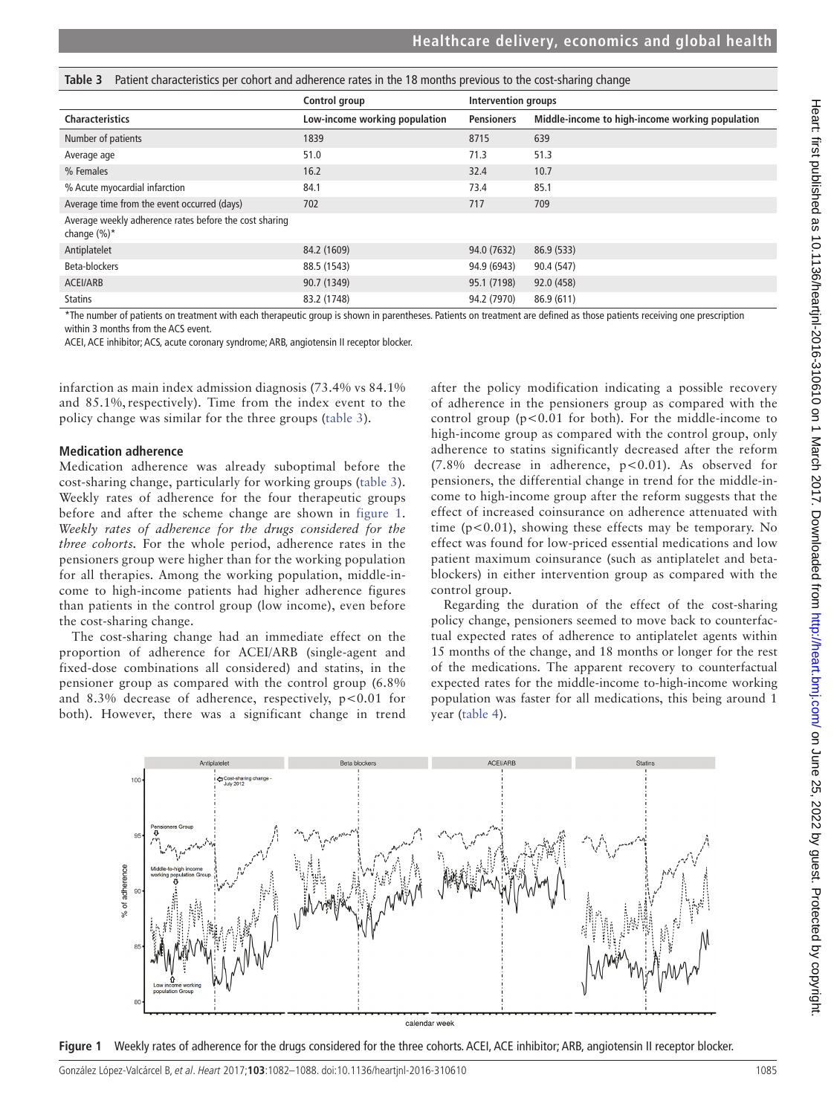<span id="page-3-0"></span>

|  |  |  |  |  | Table 3 Patient characteristics per cohort and adherence rates in the 18 months previous to the cost-sharing change |
|--|--|--|--|--|---------------------------------------------------------------------------------------------------------------------|
|--|--|--|--|--|---------------------------------------------------------------------------------------------------------------------|

|                                                                           | Control group                 | Intervention groups |                                                 |
|---------------------------------------------------------------------------|-------------------------------|---------------------|-------------------------------------------------|
| <b>Characteristics</b>                                                    | Low-income working population | <b>Pensioners</b>   | Middle-income to high-income working population |
| Number of patients                                                        | 1839                          | 8715                | 639                                             |
| Average age                                                               | 51.0                          | 71.3                | 51.3                                            |
| % Females                                                                 | 16.2                          | 32.4                | 10.7                                            |
| % Acute myocardial infarction                                             | 84.1                          | 73.4                | 85.1                                            |
| Average time from the event occurred (days)                               | 702                           | 717                 | 709                                             |
| Average weekly adherence rates before the cost sharing<br>change $(\%)^*$ |                               |                     |                                                 |
| Antiplatelet                                                              | 84.2 (1609)                   | 94.0 (7632)         | 86.9 (533)                                      |
| Beta-blockers                                                             | 88.5 (1543)                   | 94.9 (6943)         | 90.4 (547)                                      |
| ACEI/ARB                                                                  | 90.7 (1349)                   | 95.1 (7198)         | 92.0 (458)                                      |
| <b>Statins</b>                                                            | 83.2 (1748)                   | 94.2 (7970)         | 86.9 (611)                                      |

\*The number of patients on treatment with each therapeutic group is shown in parentheses. Patients on treatment are defined as those patients receiving one prescription within 3 months from the ACS event.

ACEI, ACE inhibitor; ACS, acute coronary syndrome; ARB, angiotensin II receptor blocker.

infarction as main index admission diagnosis (73.4% vs 84.1% and 85.1%, respectively). Time from the index event to the policy change was similar for the three groups ([table](#page-3-0) 3).

## **Medication adherence**

Medication adherence was already suboptimal before the cost-sharing change, particularly for working groups [\(table](#page-3-0) 3). Weekly rates of adherence for the four therapeutic groups before and after the scheme change are shown in [figure](#page-3-1) 1. *Weekly rates of adherence for the drugs considered for the three cohorts.* For the whole period, adherence rates in the pensioners group were higher than for the working population for all therapies. Among the working population, middle-income to high-income patients had higher adherence figures than patients in the control group (low income), even before the cost-sharing change.

The cost-sharing change had an immediate effect on the proportion of adherence for ACEI/ARB (single-agent and fixed-dose combinations all considered) and statins, in the pensioner group as compared with the control group (6.8% and 8.3% decrease of adherence, respectively,  $p < 0.01$  for both). However, there was a significant change in trend

after the policy modification indicating a possible recovery of adherence in the pensioners group as compared with the control group  $(p<0.01$  for both). For the middle-income to high-income group as compared with the control group, only adherence to statins significantly decreased after the reform (7.8% decrease in adherence,  $p < 0.01$ ). As observed for pensioners, the differential change in trend for the middle-income to high-income group after the reform suggests that the effect of increased coinsurance on adherence attenuated with time  $(p<0.01)$ , showing these effects may be temporary. No effect was found for low-priced essential medications and low patient maximum coinsurance (such as antiplatelet and betablockers) in either intervention group as compared with the control group.

Regarding the duration of the effect of the cost-sharing policy change, pensioners seemed to move back to counterfactual expected rates of adherence to antiplatelet agents within 15 months of the change, and 18 months or longer for the rest of the medications. The apparent recovery to counterfactual expected rates for the middle-income to-high-income working population was faster for all medications, this being around 1 year ([table](#page-4-0) 4).



<span id="page-3-1"></span>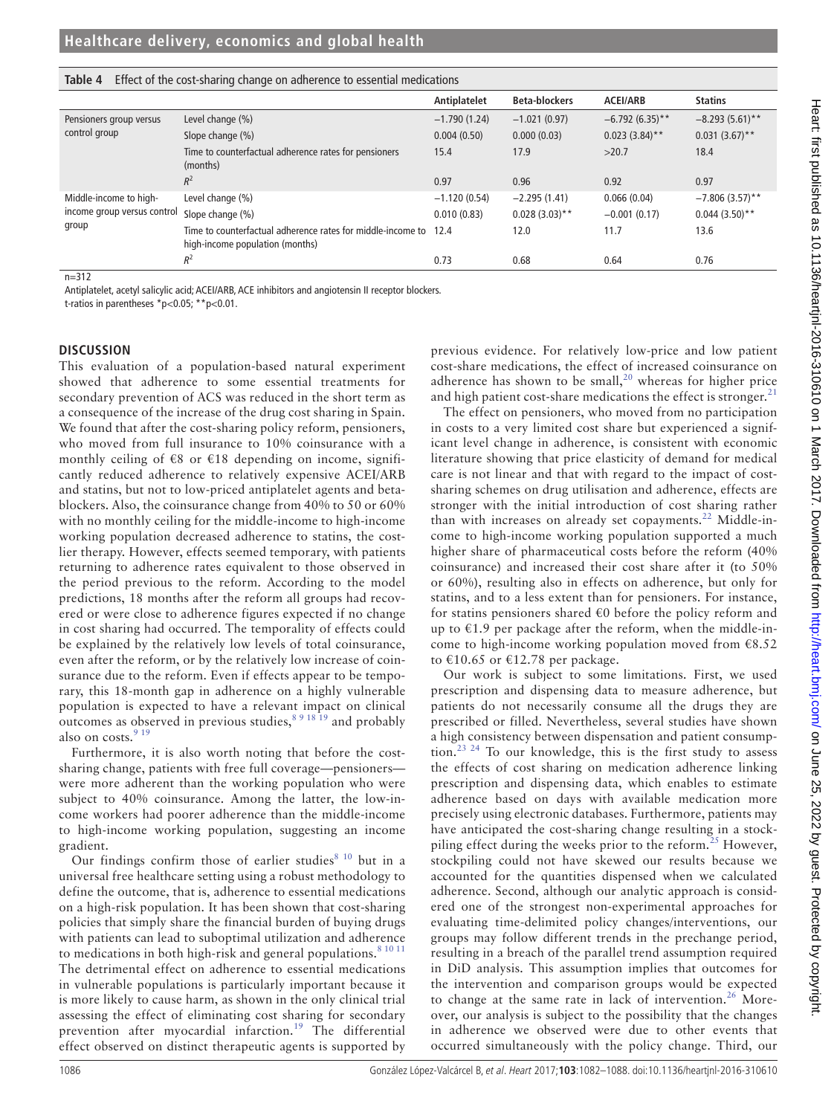|                                          |                                                                                                     | Antiplatelet   | <b>Beta-blockers</b> | <b>ACEI/ARB</b>   | <b>Statins</b>    |
|------------------------------------------|-----------------------------------------------------------------------------------------------------|----------------|----------------------|-------------------|-------------------|
| Pensioners group versus<br>control group | Level change (%)                                                                                    | $-1.790(1.24)$ | $-1.021(0.97)$       | $-6.792(6.35)$ ** | $-8.293(5.61)$ ** |
|                                          | Slope change (%)                                                                                    | 0.004(0.50)    | 0.000(0.03)          | $0.023(3.84)$ **  | $0.031(3.67)$ **  |
|                                          | Time to counterfactual adherence rates for pensioners<br>(months)                                   | 15.4           | 17.9                 | >20.7             | 18.4              |
|                                          | $R^2$                                                                                               | 0.97           | 0.96                 | 0.92              | 0.97              |
| Middle-income to high-                   | Level change (%)                                                                                    | $-1.120(0.54)$ | $-2.295(1.41)$       | 0.066(0.04)       | $-7.806(3.57)$ ** |
| income group versus control              | Slope change (%)                                                                                    | 0.010(0.83)    | $0.028(3.03)$ **     | $-0.001(0.17)$    | $0.044(3.50)$ **  |
| group                                    | Time to counterfactual adherence rates for middle-income to 12.4<br>high-income population (months) |                | 12.0                 | 11.7              | 13.6              |
|                                          | $R^2$                                                                                               | 0.73           | 0.68                 | 0.64              | 0.76              |

#### <span id="page-4-0"></span>**Table 4** Effect of the cost-sharing change on adherence to essential medications

n=312

Antiplatelet, acetyl salicylic acid; ACEI/ARB, ACE inhibitors and angiotensin II receptor blockers.

t-ratios in parentheses \*p<0.05; \*\*p<0.01.

## **Discussion**

This evaluation of a population-based natural experiment showed that adherence to some essential treatments for secondary prevention of ACS was reduced in the short term as a consequence of the increase of the drug cost sharing in Spain. We found that after the cost-sharing policy reform, pensioners, who moved from full insurance to 10% coinsurance with a monthly ceiling of  $\epsilon$ 8 or  $\epsilon$ 18 depending on income, significantly reduced adherence to relatively expensive ACEI/ARB and statins, but not to low-priced antiplatelet agents and betablockers. Also, the coinsurance change from 40% to 50 or 60% with no monthly ceiling for the middle-income to high-income working population decreased adherence to statins, the costlier therapy. However, effects seemed temporary, with patients returning to adherence rates equivalent to those observed in the period previous to the reform. According to the model predictions, 18 months after the reform all groups had recovered or were close to adherence figures expected if no change in cost sharing had occurred. The temporality of effects could be explained by the relatively low levels of total coinsurance, even after the reform, or by the relatively low increase of coinsurance due to the reform. Even if effects appear to be temporary, this 18-month gap in adherence on a highly vulnerable population is expected to have a relevant impact on clinical outcomes as observed in previous studies,  $891819$  and probably also on costs. $919$ 

Furthermore, it is also worth noting that before the costsharing change, patients with free full coverage—pensioners were more adherent than the working population who were subject to 40% coinsurance. Among the latter, the low-income workers had poorer adherence than the middle-income to high-income working population, suggesting an income gradient.

Our findings confirm those of earlier studies<sup>8 10</sup> but in a universal free healthcare setting using a robust methodology to define the outcome, that is, adherence to essential medications on a high-risk population. It has been shown that cost-sharing policies that simply share the financial burden of buying drugs with patients can lead to suboptimal utilization and adherence to medications in both high-risk and general populations. $81011$ The detrimental effect on adherence to essential medications in vulnerable populations is particularly important because it is more likely to cause harm, as shown in the only clinical trial assessing the effect of eliminating cost sharing for secondary prevention after myocardial infarction.[19](#page-5-9) The differential effect observed on distinct therapeutic agents is supported by

previous evidence. For relatively low-price and low patient cost-share medications, the effect of increased coinsurance on adherence has shown to be small, $^{20}$  $^{20}$  $^{20}$  whereas for higher price and high patient cost-share medications the effect is stronger.<sup>[21](#page-5-11)</sup>

The effect on pensioners, who moved from no participation in costs to a very limited cost share but experienced a significant level change in adherence, is consistent with economic literature showing that price elasticity of demand for medical care is not linear and that with regard to the impact of costsharing schemes on drug utilisation and adherence, effects are stronger with the initial introduction of cost sharing rather than with increases on already set copayments.<sup>22</sup> Middle-income to high-income working population supported a much higher share of pharmaceutical costs before the reform (40% coinsurance) and increased their cost share after it (to 50% or 60%), resulting also in effects on adherence, but only for statins, and to a less extent than for pensioners. For instance, for statins pensioners shared  $\epsilon$ 0 before the policy reform and up to  $\epsilon$ 1.9 per package after the reform, when the middle-income to high-income working population moved from €8.52 to €10.65 or €12.78 per package.

Our work is subject to some limitations. First, we used prescription and dispensing data to measure adherence, but patients do not necessarily consume all the drugs they are prescribed or filled. Nevertheless, several studies have shown a high consistency between dispensation and patient consumption.[23 24](#page-5-13) To our knowledge, this is the first study to assess the effects of cost sharing on medication adherence linking prescription and dispensing data, which enables to estimate adherence based on days with available medication more precisely using electronic databases. Furthermore, patients may have anticipated the cost-sharing change resulting in a stock-piling effect during the weeks prior to the reform.<sup>[25](#page-5-14)</sup> However, stockpiling could not have skewed our results because we accounted for the quantities dispensed when we calculated adherence. Second, although our analytic approach is considered one of the strongest non-experimental approaches for evaluating time-delimited policy changes/interventions, our groups may follow different trends in the prechange period, resulting in a breach of the parallel trend assumption required in DiD analysis. This assumption implies that outcomes for the intervention and comparison groups would be expected to change at the same rate in lack of intervention.<sup>[26](#page-5-15)</sup> Moreover, our analysis is subject to the possibility that the changes in adherence we observed were due to other events that occurred simultaneously with the policy change. Third, our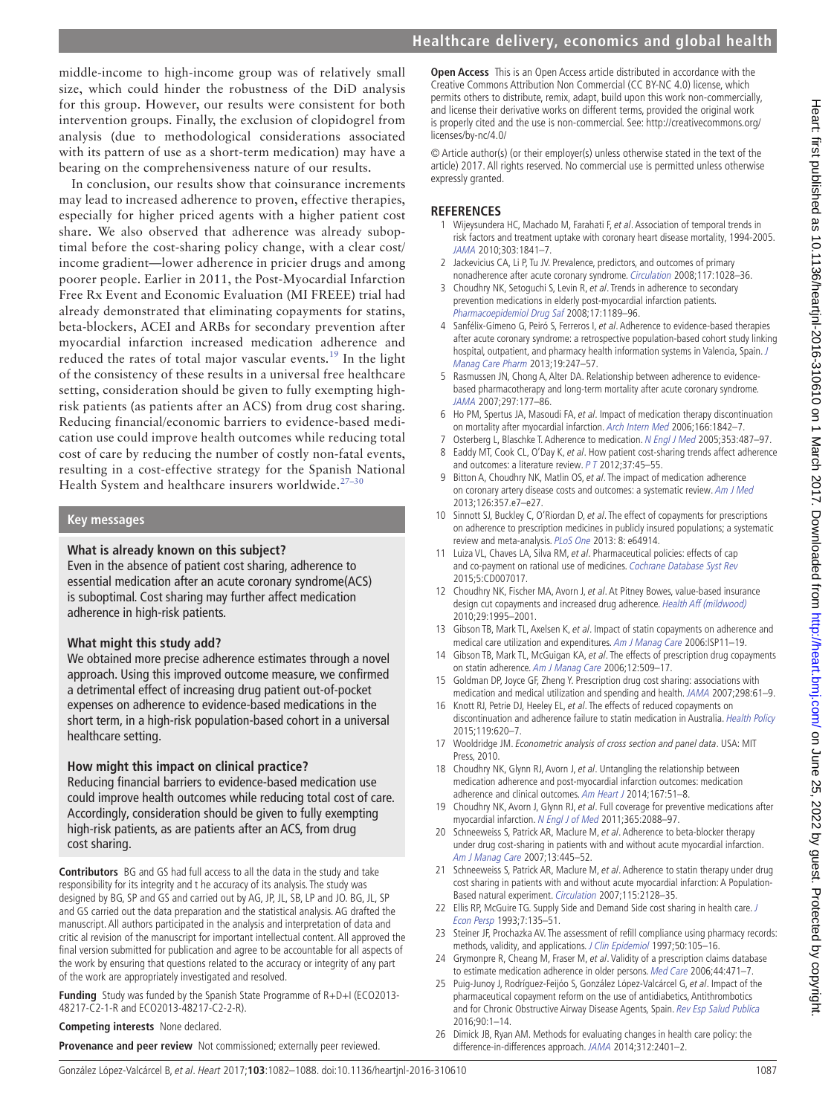middle-income to high-income group was of relatively small size, which could hinder the robustness of the DiD analysis for this group. However, our results were consistent for both intervention groups. Finally, the exclusion of clopidogrel from analysis (due to methodological considerations associated with its pattern of use as a short-term medication) may have a bearing on the comprehensiveness nature of our results.

In conclusion, our results show that coinsurance increments may lead to increased adherence to proven, effective therapies, especially for higher priced agents with a higher patient cost share. We also observed that adherence was already suboptimal before the cost-sharing policy change, with a clear cost/ income gradient—lower adherence in pricier drugs and among poorer people. Earlier in 2011, the Post-Myocardial Infarction Free Rx Event and Economic Evaluation (MI FREEE) trial had already demonstrated that eliminating copayments for statins, beta-blockers, ACEI and ARBs for secondary prevention after myocardial infarction increased medication adherence and reduced the rates of total major vascular events.<sup>[19](#page-5-9)</sup> In the light of the consistency of these results in a universal free healthcare setting, consideration should be given to fully exempting highrisk patients (as patients after an ACS) from drug cost sharing. Reducing financial/economic barriers to evidence-based medication use could improve health outcomes while reducing total cost of care by reducing the number of costly non-fatal events, resulting in a cost-effective strategy for the Spanish National Health System and healthcare insurers worldwide. $27-30$ 

#### **Key messages**

#### **What is already known on this subject?**

Even in the absence of patient cost sharing, adherence to essential medication after an acute coronary syndrome(ACS) is suboptimal. Cost sharing may further affect medication adherence in high-risk patients.

#### **What might this study add?**

We obtained more precise adherence estimates through a novel approach. Using this improved outcome measure, we confirmed a detrimental effect of increasing drug patient out-of-pocket expenses on adherence to evidence-based medications in the short term, in a high-risk population-based cohort in a universal healthcare setting.

#### **How might this impact on clinical practice?**

Reducing financial barriers to evidence-based medication use could improve health outcomes while reducing total cost of care. Accordingly, consideration should be given to fully exempting high-risk patients, as are patients after an ACS, from drug cost sharing.

**Contributors** BG and GS had full access to all the data in the study and take responsibility for its integrity and t he accuracy of its analysis. The study was designed by BG, SP and GS and carried out by AG, JP, JL, SB, LP and JO. BG, JL, SP and GS carried out the data preparation and the statistical analysis. AG drafted the manuscript. All authors participated in the analysis and interpretation of data and critic al revision of the manuscript for important intellectual content. All approved the final version submitted for publication and agree to be accountable for all aspects of the work by ensuring that questions related to the accuracy or integrity of any part of the work are appropriately investigated and resolved.

**Funding** Study was funded by the Spanish State Programme of R+D+I (ECO2013- 48217-C2-1-R and ECO2013-48217-C2-2-R).

**Competing interests** None declared.

**Provenance and peer review** Not commissioned; externally peer reviewed.

**Open Access** This is an Open Access article distributed in accordance with the Creative Commons Attribution Non Commercial (CC BY-NC 4.0) license, which permits others to distribute, remix, adapt, build upon this work non-commercially, and license their derivative works on different terms, provided the original work is properly cited and the use is non-commercial. See: [http://creativecommons.org/](http://creativecommons.org/licenses/by-nc/4.0/) [licenses/by-nc/4.0/](http://creativecommons.org/licenses/by-nc/4.0/)

© Article author(s) (or their employer(s) unless otherwise stated in the text of the article) 2017. All rights reserved. No commercial use is permitted unless otherwise expressly granted.

#### **References**

- <span id="page-5-0"></span>1 Wijeysundera HC, Machado M, Farahati F, et al. Association of temporal trends in risk factors and treatment uptake with coronary heart disease mortality, 1994-2005. [JAMA](http://dx.doi.org/10.1001/jama.2010.580) 2010;303:1841–7.
- <span id="page-5-1"></span>2 Jackevicius CA, Li P, Tu JV. Prevalence, predictors, and outcomes of primary nonadherence after acute coronary syndrome. [Circulation](http://dx.doi.org/10.1161/CIRCULATIONAHA.107.706820) 2008;117:1028–36.
- <span id="page-5-2"></span>3 Choudhry NK, Setoguchi S, Levin R, et al. Trends in adherence to secondary prevention medications in elderly post-myocardial infarction patients. [Pharmacoepidemiol Drug Saf](http://dx.doi.org/10.1002/pds.1671) 2008;17:1189-96.
- 4 Sanfélix-Gimeno G, Peiró S, Ferreros I, et al. Adherence to evidence-based therapies after acute coronary syndrome: a retrospective population-based cohort study linking hospital, outpatient, and pharmacy health information systems in Valencia, Spain. J [Manag Care Pharm](http://dx.doi.org/10.18553/jmcp.2013.19.3.247) 2013;19:247–57.
- <span id="page-5-3"></span>5 Rasmussen JN, Chong A, Alter DA. Relationship between adherence to evidencebased pharmacotherapy and long-term mortality after acute coronary syndrome. [JAMA](http://dx.doi.org/10.1001/jama.297.2.177) 2007;297:177–86.
- <span id="page-5-4"></span>6 Ho PM, Spertus JA, Masoudi FA, et al. Impact of medication therapy discontinuation on mortality after myocardial infarction. [Arch Intern Med](http://dx.doi.org/10.1001/archinte.166.17.1842) 2006;166:1842–7.
- <span id="page-5-5"></span>7 Osterberg L, Blaschke T. Adherence to medication. [N Engl J Med](http://dx.doi.org/10.1056/NEJMra050100) 2005;353:487-97.
- <span id="page-5-6"></span>8 Eaddy MT, Cook CL, O'Day K, et al. How patient cost-sharing trends affect adherence and outcomes: a literature review. P T 2012;37:45–55.
- <span id="page-5-8"></span>9 Bitton A, Choudhry NK, Matlin OS, et al. The impact of medication adherence on coronary artery disease costs and outcomes: a systematic review. [Am J Med](http://dx.doi.org/10.1016/j.amjmed.2012.09.004) 2013;126:357.e7–e27.
- 10 Sinnott SJ, Buckley C, O'Riordan D, et al. The effect of copayments for prescriptions on adherence to prescription medicines in publicly insured populations; a systematic review and meta-analysis. [PLoS One](http://dx.doi.org/10.1371/journal.pone.0064914) 2013: 8: e64914.
- 11 Luiza VL, Chaves LA, Silva RM, et al. Pharmaceutical policies: effects of cap and co-payment on rational use of medicines. [Cochrane Database Syst Rev](http://dx.doi.org/10.1002/14651858.CD007017.pub2.) 2015;5:CD007017.
- 12 Choudhry NK, Fischer MA, Avorn J, et al. At Pitney Bowes, value-based insurance design cut copayments and increased drug adherence. [Health Aff \(mildwood\)](http://dx.doi.org/10.1377/hlthaff.2010.0336) 2010;29:1995–2001.
- 13 Gibson TB, Mark TL, Axelsen K, et al. Impact of statin copayments on adherence and medical care utilization and expenditures. Am J Manag Care 2006:ISP11-19.
- 14 Gibson TB, Mark TL, McGuigan KA, et al. The effects of prescription drug copayments on statin adherence. Am J Manag Care 2006;12:509-17.
- 15 Goldman DP, Joyce GF, Zheng Y. Prescription drug cost sharing: associations with medication and medical utilization and spending and health. [JAMA](http://dx.doi.org/10.1001/jama.298.1.61) 2007;298:61–9.
- 16 Knott RJ, Petrie DJ, Heeley EL, et al. The effects of reduced copayments on discontinuation and adherence failure to statin medication in Australia. [Health Policy](http://dx.doi.org/10.1016/j.healthpol.2015.01.003) 2015;119:620–7.
- <span id="page-5-7"></span>17 Wooldridge JM. Econometric analysis of cross section and panel data. USA: MIT Press, 2010.
- 18 Choudhry NK, Glynn RJ, Avorn J, et al. Untangling the relationship between medication adherence and post-myocardial infarction outcomes: medication adherence and clinical outcomes. [Am Heart J](http://dx.doi.org/10.1016/j.ahj.2013.09.014) 2014;167:51-8.
- <span id="page-5-9"></span>19 Choudhry NK, Avorn J, Glynn RJ, et al. Full coverage for preventive medications after myocardial infarction. [N Engl J of Med](http://dx.doi.org/10.1056/NEJMsa1107913) 2011;365:2088–97.
- <span id="page-5-10"></span>20 Schneeweiss S, Patrick AR, Maclure M, et al. Adherence to beta-blocker therapy under drug cost-sharing in patients with and without acute myocardial infarction. Am J Manag Care 2007;13:445–52.
- <span id="page-5-11"></span>21 Schneeweiss S, Patrick AR, Maclure M, et al. Adherence to statin therapy under drug cost sharing in patients with and without acute myocardial infarction: A Population-Based natural experiment. [Circulation](http://dx.doi.org/10.1161/CIRCULATIONAHA.106.665992) 2007;115:2128–35.
- <span id="page-5-12"></span>22 Ellis RP, McGuire TG. Supply Side and Demand Side cost sharing in health care. J [Econ Persp](http://dx.doi.org/10.1257/jep.7.4.135) 1993;7:135–51.
- <span id="page-5-13"></span>23 Steiner JF, Prochazka AV. The assessment of refill compliance using pharmacy records: methods, validity, and applications. [J Clin Epidemiol](http://dx.doi.org/10.1016/S0895-4356(96)00268-5) 1997;50:105-16.
- Grymonpre R, Cheang M, Fraser M, et al. Validity of a prescription claims database to estimate medication adherence in older persons. [Med Care](http://dx.doi.org/10.1097/01.mlr.0000207817.32496.cb) 2006;44:471-7.
- <span id="page-5-14"></span>25 Puig-Junoy J, Rodríguez-Feijóo S, González López-Valcárcel G, et al. Impact of the pharmaceutical copayment reform on the use of antidiabetics, Antithrombotics and for Chronic Obstructive Airway Disease Agents, Spain. Rev Esp Salud Publica 2016;90:1–14.
- <span id="page-5-15"></span>26 Dimick JB, Ryan AM. Methods for evaluating changes in health care policy: the difference-in-differences approach. [JAMA](http://dx.doi.org/10.1001/jama.2014.16153) 2014;312:2401–2.